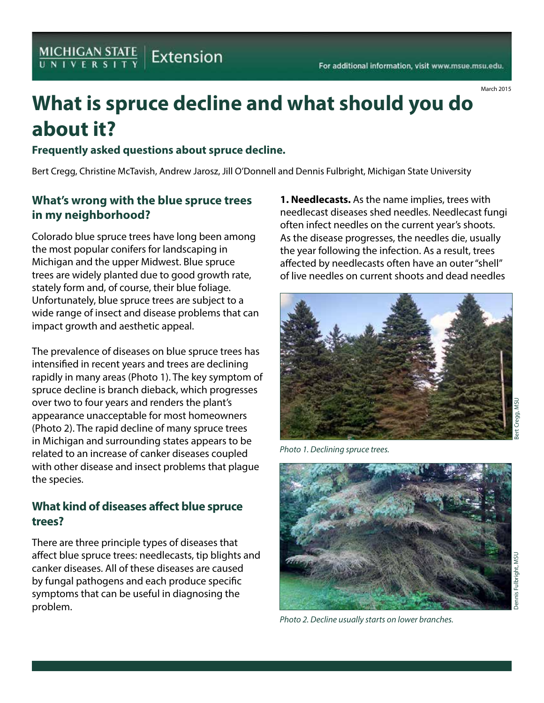# **What is spruce decline and what should you do about it?**

#### **Frequently asked questions about spruce decline.**

Bert Cregg, Christine McTavish, Andrew Jarosz, Jill O'Donnell and Dennis Fulbright, Michigan State University

#### **What's wrong with the blue spruce trees in my neighborhood?**

Colorado blue spruce trees have long been among the most popular conifers for landscaping in Michigan and the upper Midwest. Blue spruce trees are widely planted due to good growth rate, stately form and, of course, their blue foliage. Unfortunately, blue spruce trees are subject to a wide range of insect and disease problems that can impact growth and aesthetic appeal.

The prevalence of diseases on blue spruce trees has intensified in recent years and trees are declining rapidly in many areas (Photo 1). The key symptom of spruce decline is branch dieback, which progresses over two to four years and renders the plant's appearance unacceptable for most homeowners (Photo 2). The rapid decline of many spruce trees in Michigan and surrounding states appears to be related to an increase of canker diseases coupled with other disease and insect problems that plague the species.

#### **What kind of diseases affect blue spruce trees?**

There are three principle types of diseases that affect blue spruce trees: needlecasts, tip blights and canker diseases. All of these diseases are caused by fungal pathogens and each produce specific symptoms that can be useful in diagnosing the problem.

**1. Needlecasts.** As the name implies, trees with needlecast diseases shed needles. Needlecast fungi often infect needles on the current year's shoots. As the disease progresses, the needles die, usually the year following the infection. As a result, trees affected by needlecasts often have an outer "shell" of live needles on current shoots and dead needles



*Photo 1. Declining spruce trees.*



*Photo 2. Decline usually starts on lower branches.*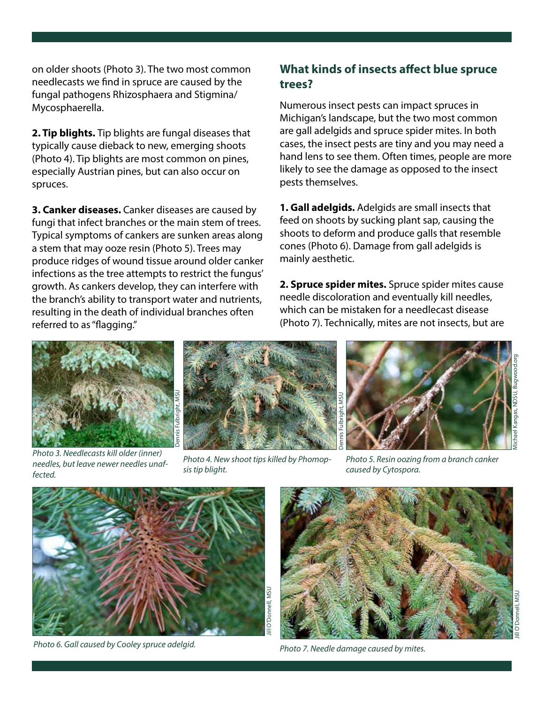on older shoots (Photo 3). The two most common needlecasts we find in spruce are caused by the fungal pathogens Rhizosphaera and Stigmina/ Mycosphaerella.

**2. Tip blights.** Tip blights are fungal diseases that typically cause dieback to new, emerging shoots (Photo 4). Tip blights are most common on pines, especially Austrian pines, but can also occur on spruces.

**3. Canker diseases.** Canker diseases are caused by fungi that infect branches or the main stem of trees. Typical symptoms of cankers are sunken areas along a stem that may ooze resin (Photo 5). Trees may produce ridges of wound tissue around older canker infections as the tree attempts to restrict the fungus' growth. As cankers develop, they can interfere with the branch's ability to transport water and nutrients, resulting in the death of individual branches often referred to as "flagging."

# **What kinds of insects affect blue spruce trees?**

Numerous insect pests can impact spruces in Michigan's landscape, but the two most common are gall adelgids and spruce spider mites. In both cases, the insect pests are tiny and you may need a hand lens to see them. Often times, people are more likely to see the damage as opposed to the insect pests themselves.

**1. Gall adelgids.** Adelgids are small insects that feed on shoots by sucking plant sap, causing the shoots to deform and produce galls that resemble cones (Photo 6). Damage from gall adelgids is mainly aesthetic.

**2. Spruce spider mites.** Spruce spider mites cause needle discoloration and eventually kill needles, which can be mistaken for a needlecast disease (Photo 7). Technically, mites are not insects, but are



*Photo 3. Needlecasts kill older (inner) needles, but leave newer needles unaffected.*



*Photo 4. New shoot tips killed by Phomopsis tip blight.*



*Photo 5. Resin oozing from a branch canker caused by Cytospora.*



*Photo 6. Gall caused by Cooley spruce adelgid. Photo 7. Needle damage caused by mites.*

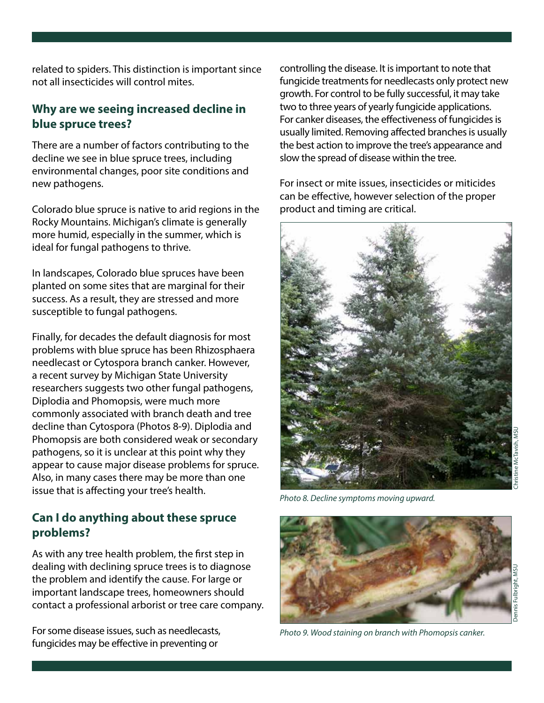related to spiders. This distinction is important since not all insecticides will control mites.

## **Why are we seeing increased decline in blue spruce trees?**

There are a number of factors contributing to the decline we see in blue spruce trees, including environmental changes, poor site conditions and new pathogens.

Colorado blue spruce is native to arid regions in the Rocky Mountains. Michigan's climate is generally more humid, especially in the summer, which is ideal for fungal pathogens to thrive.

In landscapes, Colorado blue spruces have been planted on some sites that are marginal for their success. As a result, they are stressed and more susceptible to fungal pathogens.

Finally, for decades the default diagnosis for most problems with blue spruce has been Rhizosphaera needlecast or Cytospora branch canker. However, a recent survey by Michigan State University researchers suggests two other fungal pathogens, Diplodia and Phomopsis, were much more commonly associated with branch death and tree decline than Cytospora (Photos 8-9). Diplodia and Phomopsis are both considered weak or secondary pathogens, so it is unclear at this point why they appear to cause major disease problems for spruce. Also, in many cases there may be more than one issue that is affecting your tree's health.

# **Can I do anything about these spruce problems?**

As with any tree health problem, the first step in dealing with declining spruce trees is to diagnose the problem and identify the cause. For large or important landscape trees, homeowners should contact a professional arborist or tree care company.

For some disease issues, such as needlecasts, fungicides may be effective in preventing or

controlling the disease. It is important to note that fungicide treatments for needlecasts only protect new growth. For control to be fully successful, it may take two to three years of yearly fungicide applications. For canker diseases, the effectiveness of fungicides is usually limited. Removing affected branches is usually the best action to improve the tree's appearance and slow the spread of disease within the tree.

For insect or mite issues, insecticides or miticides can be effective, however selection of the proper product and timing are critical.



*Photo 8. Decline symptoms moving upward.*



*Photo 9. Wood staining on branch with Phomopsis canker.*